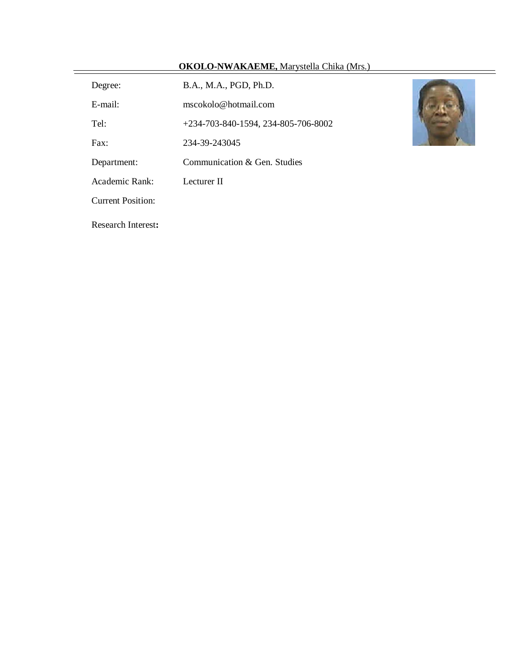# **OKOLO-NWAKAEME,** Marystella Chika (Mrs.)

Degree: B.A., M.A., PGD, Ph.D. E-mail: mscokolo@hotmail.com

Tel: +234-703-840-1594, 234-805-706-8002

Fax: 234-39-243045

Department: Communication & Gen. Studies

Academic Rank: Lecturer II

Current Position:

Ξ

Research Interest**:**

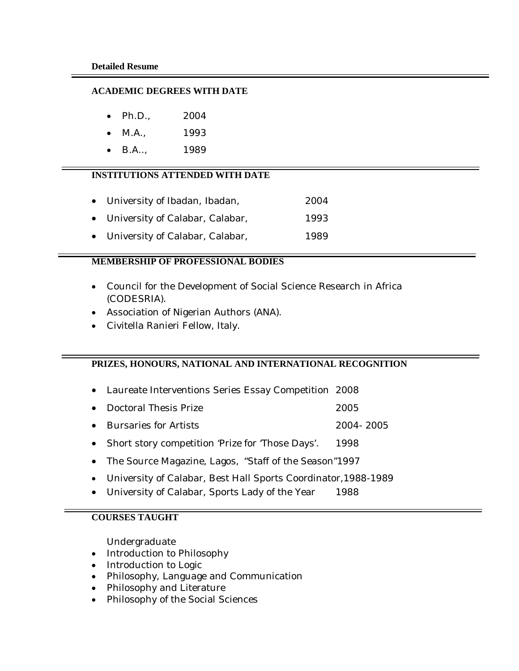#### **ACADEMIC DEGREES WITH DATE**

- Ph.D., 2004
- M.A., 1993
- B.A.., 1989

## **INSTITUTIONS ATTENDED WITH DATE**

- University of Ibadan, Ibadan, 2004
- University of Calabar, Calabar, 1993
- University of Calabar, Calabar, 1989

### **MEMBERSHIP OF PROFESSIONAL BODIES**

- Council for the Development of Social Science Research in Africa (CODESRIA).
- Association of Nigerian Authors (ANA).
- Civitella Ranieri Fellow, Italy.

### **PRIZES, HONOURS, NATIONAL AND INTERNATIONAL RECOGNITION**

- Laureate Interventions Series Essay Competition 2008
- Doctoral Thesis Prize 2005
- Bursaries for Artists 2004- 2005
- Short story competition 'Prize for 'Those Days'. 1998
- The Source Magazine, Lagos, "Staff of the Season"1997
- University of Calabar, Best Hall Sports Coordinator,1988-1989
- University of Calabar, Sports Lady of the Year 1988

## **COURSES TAUGHT**

Undergraduate

- Introduction to Philosophy
- Introduction to Logic
- Philosophy, Language and Communication
- Philosophy and Literature
- Philosophy of the Social Sciences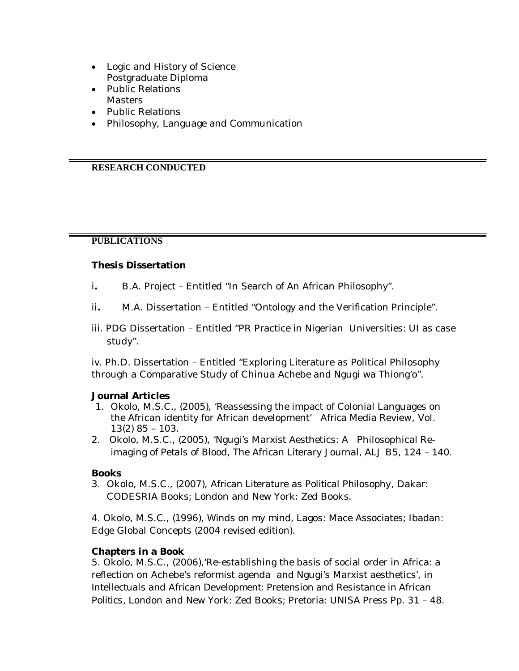- Logic and History of Science Postgraduate Diploma
- Public Relations **Masters**
- Public Relations
- Philosophy, Language and Communication

## **RESEARCH CONDUCTED**

## **PUBLICATIONS**

## **Thesis Dissertation**

- i**.** B.A. Project Entitled "In Search of An African Philosophy".
- ii**.** M.A. Dissertation Entitled "Ontology and the Verification Principle".
- iii. PDG Dissertation Entitled "PR Practice in Nigerian Universities: UI as case study".

iv. Ph.D. Dissertation – Entitled "Exploring Literature as Political Philosophy through a Comparative Study of Chinua Achebe and Ngugi wa Thiong'o".

### **Journal Articles**

- 1. Okolo, M.S.C., (2005), 'Reassessing the impact of Colonial Languages on the African identity for African development' *Africa Media Review*, Vol. 13(2) 85 – 103.
- 2. Okolo, M.S.C., (2005), 'Ngugi's Marxist Aesthetics: A Philosophical Reimaging of *Petals of Blood*, *The African Literary Journal*, ALJ B5, 124 – 140.

### **Books**

3. Okolo, M.S.C., (2007), *African Literature as Political Philosophy*, Dakar: CODESRIA Books; London and New York: Zed Books.

4. Okolo, M.S.C., (1996), *Winds on my mind,* Lagos: Mace Associates; Ibadan: Edge Global Concepts (2004 revised edition).

## **Chapters in a Book**

5. Okolo, M.S.C., (2006),'Re-establishing the basis of social order in Africa: a reflection on Achebe's reformist agenda and Ngugi's Marxist aesthetics', in *Intellectuals and African Development: Pretension and Resistance in African Politics,* London and New York: Zed Books; Pretoria: UNISA Press Pp. 31 – 48.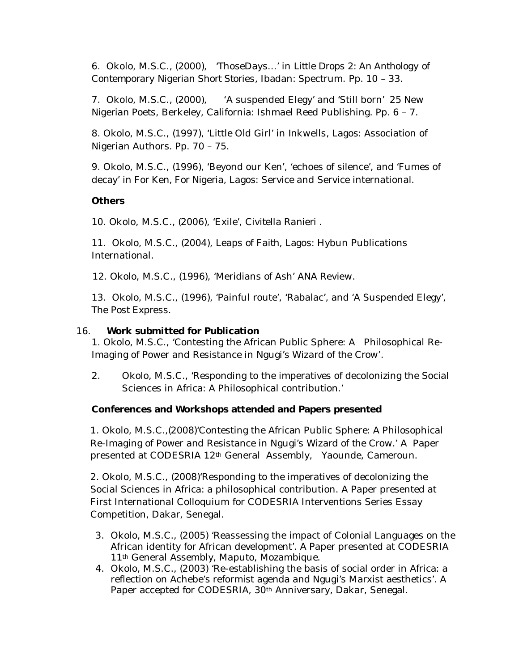6. Okolo, M.S.C., (2000), 'ThoseDays…' in *Little Drops 2: An Anthology of Contemporary Nigerian Short Stories,* Ibadan: Spectrum. Pp. 10 – 33.

7. Okolo, M.S.C., (2000), *'*A suspended Elegy' and 'Still born' *25 New Nigerian Poets,* Berkeley, California: Ishmael Reed Publishing. Pp. 6 – 7.

8. Okolo, M.S.C., (1997), 'Little Old Girl' in *Inkwells*, Lagos: Association of Nigerian Authors. Pp. 70 – 75.

9. Okolo, M.S.C., (1996), 'Beyond our Ken', 'echoes of silence', and 'Fumes of decay' in *For Ken, For Nigeria,* Lagos: Service and Service international.

## **Others**

10. Okolo, M.S.C., (2006), 'Exile', *Civitella Ranieri .*

11. Okolo, M.S.C., (2004), *Leaps of Faith,* Lagos: Hybun Publications International.

12. Okolo, M.S.C., (1996), 'Meridians of Ash' *ANA Review*.

13. Okolo, M.S.C., (1996), 'Painful route', 'Rabalac', and 'A Suspended Elegy', *The Post Express.*

## 16. **Work submitted for Publication**

1. Okolo, M.S.C., 'Contesting the African Public Sphere: A Philosophical Re-Imaging of Power and Resistance in Ngugi's *Wizard of the Crow'.* 

2. Okolo, M.S.C., 'Responding to the imperatives of decolonizing the Social Sciences in Africa: A Philosophical contribution.'

## **Conferences and Workshops attended and Papers presented**

1. Okolo, M.S.C.,(2008)'Contesting the African Public Sphere: A Philosophical Re-Imaging of Power and Resistance in Ngugi's *Wizard of the Crow.'* A Paper presented at CODESRIA 12th General Assembly, Yaounde, Cameroun.

2. Okolo, M.S.C., (2008)'Responding to the imperatives of decolonizing the Social Sciences in Africa: a philosophical contribution. A Paper presented at First International Colloquium for CODESRIA Interventions Series Essay Competition, Dakar, Senegal.

- 3. Okolo, M.S.C., (2005) 'Reassessing the impact of Colonial Languages on the African identity for African development'. A Paper presented at CODESRIA 11<sup>th</sup> General Assembly, Maputo, Mozambique.
- 4. Okolo, M.S.C., (2003) 'Re-establishing the basis of social order in Africa: a reflection on Achebe's reformist agenda and Ngugi's Marxist aesthetics'. A Paper accepted for CODESRIA, 30<sup>th</sup> Anniversary, Dakar, Senegal.